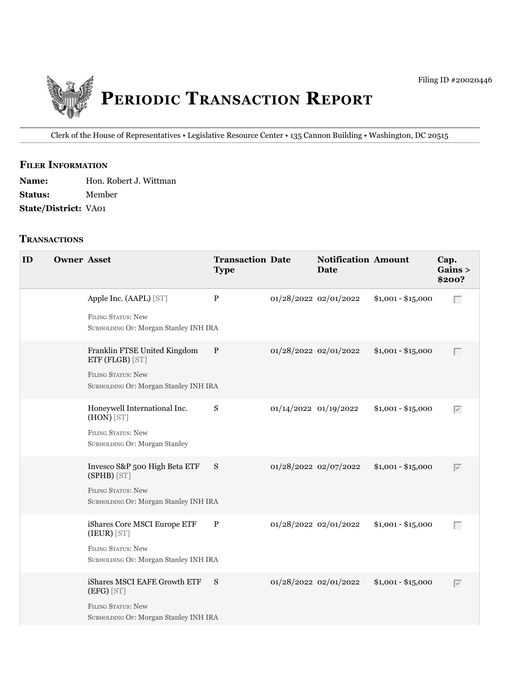

Clerk of the House of Representatives • Legislative Resource Center • 135 Cannon Building • Washington, DC 20515

### **fIler INfOrmATION**

| <b>Name:</b>                | Hon. Robert J. Wittman |
|-----------------------------|------------------------|
| <b>Status:</b>              | Member                 |
| <b>State/District: VA01</b> |                        |

#### **TrANSACTIONS**

| ID | <b>Owner Asset</b> |                                                                                                                   | <b>Transaction Date</b><br><b>Type</b> |                       | <b>Notification Amount</b><br><b>Date</b> |                    | Cap.<br>Gains ><br>\$200? |
|----|--------------------|-------------------------------------------------------------------------------------------------------------------|----------------------------------------|-----------------------|-------------------------------------------|--------------------|---------------------------|
|    |                    | Apple Inc. (AAPL) [ST]<br><b>FILING STATUS: New</b><br>SUBHOLDING OF: Morgan Stanley INH IRA                      | $\, {\bf P}$                           | 01/28/2022 02/01/2022 |                                           | $$1,001 - $15,000$ | Г                         |
|    |                    | Franklin FTSE United Kingdom<br>ETF (FLGB) [ST]<br>FILING STATUS: New<br>SUBHOLDING OF: Morgan Stanley INH IRA    | P                                      | 01/28/2022 02/01/2022 |                                           | $$1,001 - $15,000$ | $\Box$                    |
|    |                    | Honeywell International Inc.<br>(HON) [ST]<br><b>FILING STATUS: New</b><br>SUBHOLDING OF: Morgan Stanley          | S                                      | 01/14/2022 01/19/2022 |                                           | $$1,001 - $15,000$ | $\overline{\vee}$         |
|    |                    | Invesco S&P 500 High Beta ETF<br>(SPHB) [ST]<br>FILING STATUS: New<br>SUBHOLDING OF: Morgan Stanley INH IRA       | S                                      | 01/28/2022 02/07/2022 |                                           | $$1,001 - $15,000$ | $\overline{\vee}$         |
|    |                    | iShares Core MSCI Europe ETF<br>(IEUR) [ST]<br><b>FILING STATUS: New</b><br>SUBHOLDING OF: Morgan Stanley INH IRA | $\mathbf P$                            | 01/28/2022 02/01/2022 |                                           | $$1,001 - $15,000$ | $\Box$                    |
|    |                    | iShares MSCI EAFE Growth ETF<br>(EFG) [ST]<br><b>FILING STATUS: New</b><br>SUBHOLDING OF: Morgan Stanley INH IRA  | S                                      | 01/28/2022 02/01/2022 |                                           | $$1,001 - $15,000$ | $\overline{\vee}$         |